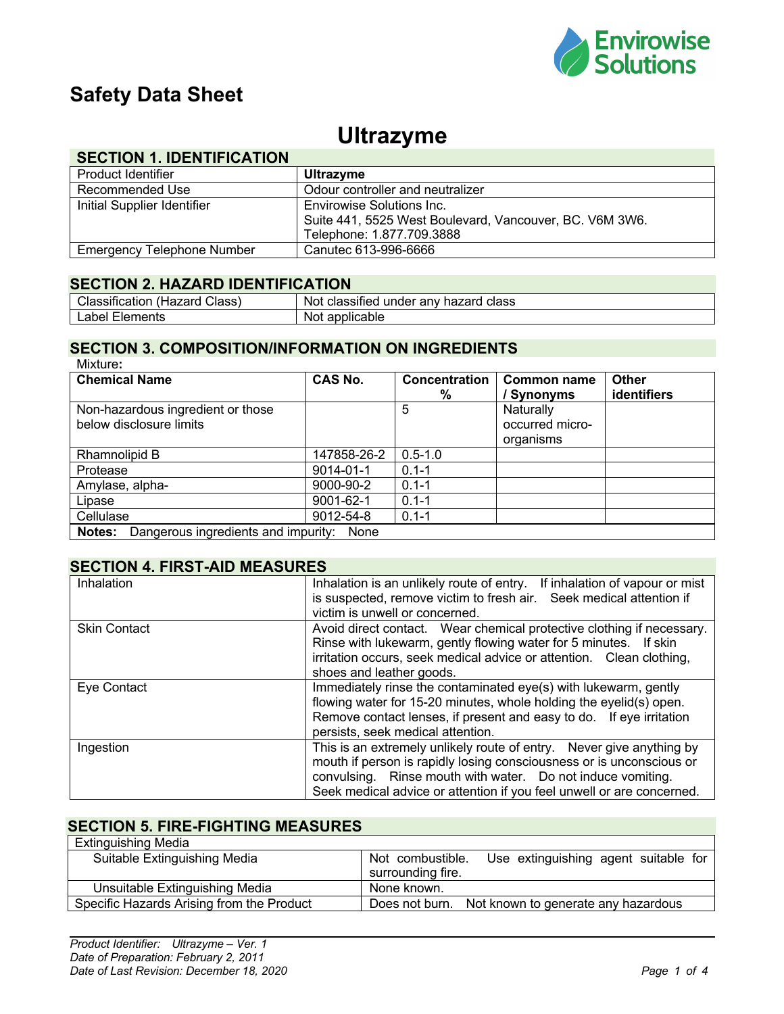

# **Safety Data Sheet**

## **Ultrazyme**

### **SECTION 1. IDENTIFICATION**

| Product Identifier          | <b>Ultrazyme</b>                                        |
|-----------------------------|---------------------------------------------------------|
| Recommended Use             | Odour controller and neutralizer                        |
| Initial Supplier Identifier | Envirowise Solutions Inc.                               |
|                             | Suite 441, 5525 West Boulevard, Vancouver, BC. V6M 3W6. |
|                             | Telephone: 1.877.709.3888                               |
| Emergency Telephone Number  | Canutec 613-996-6666                                    |

#### **SECTION 2. HAZARD IDENTIFICATION**

| Classification (Hazard<br>Class) | Not classified under any hazard class |
|----------------------------------|---------------------------------------|
| Label<br>Elements                | Not applicable                        |

#### **SECTION 3. COMPOSITION/INFORMATION ON INGREDIENTS** Mixture**:**

| <b>Chemical Name</b>                                         | <b>CAS No.</b>  | <b>Concentration</b><br>% | Common name<br>/ Synonyms                 | <b>Other</b><br><b>identifiers</b> |
|--------------------------------------------------------------|-----------------|---------------------------|-------------------------------------------|------------------------------------|
| Non-hazardous ingredient or those<br>below disclosure limits |                 | 5                         | Naturally<br>occurred micro-<br>organisms |                                    |
| Rhamnolipid B                                                | 147858-26-2     | $0.5 - 1.0$               |                                           |                                    |
| Protease                                                     | $9014 - 01 - 1$ | $0.1 - 1$                 |                                           |                                    |
| Amylase, alpha-                                              | 9000-90-2       | $0.1 - 1$                 |                                           |                                    |
| Lipase                                                       | 9001-62-1       | $0.1 - 1$                 |                                           |                                    |
| Cellulase                                                    | 9012-54-8       | $0.1 - 1$                 |                                           |                                    |
| Dangerous ingredients and impurity:<br>Notes:                | None            |                           |                                           |                                    |

#### **SECTION 4. FIRST-AID MEASURES**

| Inhalation          | Inhalation is an unlikely route of entry. If inhalation of vapour or mist |
|---------------------|---------------------------------------------------------------------------|
|                     | is suspected, remove victim to fresh air. Seek medical attention if       |
|                     | victim is unwell or concerned.                                            |
| <b>Skin Contact</b> | Avoid direct contact. Wear chemical protective clothing if necessary.     |
|                     | Rinse with lukewarm, gently flowing water for 5 minutes. If skin          |
|                     | irritation occurs, seek medical advice or attention. Clean clothing,      |
|                     | shoes and leather goods.                                                  |
| Eye Contact         | Immediately rinse the contaminated eye(s) with lukewarm, gently           |
|                     | flowing water for 15-20 minutes, whole holding the eyelid(s) open.        |
|                     | Remove contact lenses, if present and easy to do. If eye irritation       |
|                     | persists, seek medical attention.                                         |
| Ingestion           | This is an extremely unlikely route of entry. Never give anything by      |
|                     | mouth if person is rapidly losing consciousness or is unconscious or      |
|                     | convulsing. Rinse mouth with water. Do not induce vomiting.               |
|                     | Seek medical advice or attention if you feel unwell or are concerned.     |

#### **SECTION 5. FIRE-FIGHTING MEASURES** Extinguishing Media

| Exunguishing Media                        |                                                                               |
|-------------------------------------------|-------------------------------------------------------------------------------|
| Suitable Extinguishing Media              | Use extinguishing agent suitable for<br>Not combustible.<br>surrounding fire. |
| Unsuitable Extinguishing Media            | None known.                                                                   |
| Specific Hazards Arising from the Product | Does not burn. Not known to generate any hazardous                            |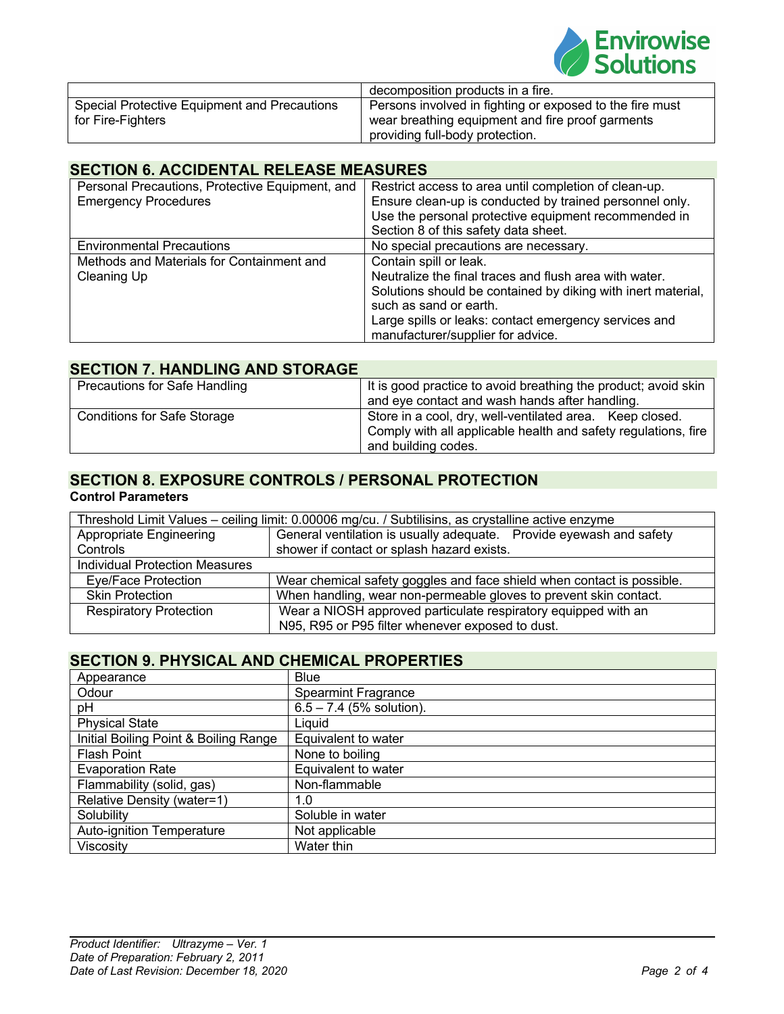

|                                              | decomposition products in a fire.                        |
|----------------------------------------------|----------------------------------------------------------|
| Special Protective Equipment and Precautions | Persons involved in fighting or exposed to the fire must |
| for Fire-Fighters                            | wear breathing equipment and fire proof garments         |
|                                              | providing full-body protection.                          |

#### **SECTION 6. ACCIDENTAL RELEASE MEASURES**

| Personal Precautions, Protective Equipment, and<br><b>Emergency Procedures</b> | Restrict access to area until completion of clean-up.<br>Ensure clean-up is conducted by trained personnel only.<br>Use the personal protective equipment recommended in<br>Section 8 of this safety data sheet.                                                         |
|--------------------------------------------------------------------------------|--------------------------------------------------------------------------------------------------------------------------------------------------------------------------------------------------------------------------------------------------------------------------|
| <b>Environmental Precautions</b>                                               | No special precautions are necessary.                                                                                                                                                                                                                                    |
| Methods and Materials for Containment and<br>Cleaning Up                       | Contain spill or leak.<br>Neutralize the final traces and flush area with water.<br>Solutions should be contained by diking with inert material,<br>such as sand or earth.<br>Large spills or leaks: contact emergency services and<br>manufacturer/supplier for advice. |

#### **SECTION 7. HANDLING AND STORAGE**

| Precautions for Safe Handling      | It is good practice to avoid breathing the product; avoid skin<br>and eye contact and wash hands after handling.                                  |
|------------------------------------|---------------------------------------------------------------------------------------------------------------------------------------------------|
| <b>Conditions for Safe Storage</b> | Store in a cool, dry, well-ventilated area. Keep closed.<br>Comply with all applicable health and safety regulations, fire<br>and building codes. |

### **SECTION 8. EXPOSURE CONTROLS / PERSONAL PROTECTION**

#### **Control Parameters**

|                                       | Threshold Limit Values - ceiling limit: 0.00006 mg/cu. / Subtilisins, as crystalline active enzyme |
|---------------------------------------|----------------------------------------------------------------------------------------------------|
| Appropriate Engineering               | General ventilation is usually adequate. Provide eyewash and safety                                |
| Controls                              | shower if contact or splash hazard exists.                                                         |
| <b>Individual Protection Measures</b> |                                                                                                    |
| Eye/Face Protection                   | Wear chemical safety goggles and face shield when contact is possible.                             |
| <b>Skin Protection</b>                | When handling, wear non-permeable gloves to prevent skin contact.                                  |
| <b>Respiratory Protection</b>         | Wear a NIOSH approved particulate respiratory equipped with an                                     |
|                                       | N95, R95 or P95 filter whenever exposed to dust.                                                   |

## **SECTION 9. PHYSICAL AND CHEMICAL PROPERTIES**

| Appearance                            | <b>Blue</b>                |
|---------------------------------------|----------------------------|
| Odour                                 | <b>Spearmint Fragrance</b> |
| pH                                    | $6.5 - 7.4$ (5% solution). |
| <b>Physical State</b>                 | Liquid                     |
| Initial Boiling Point & Boiling Range | Equivalent to water        |
| <b>Flash Point</b>                    | None to boiling            |
| <b>Evaporation Rate</b>               | Equivalent to water        |
| Flammability (solid, gas)             | Non-flammable              |
| Relative Density (water=1)            | 1.0                        |
| Solubility                            | Soluble in water           |
| <b>Auto-ignition Temperature</b>      | Not applicable             |
| Viscosity                             | Water thin                 |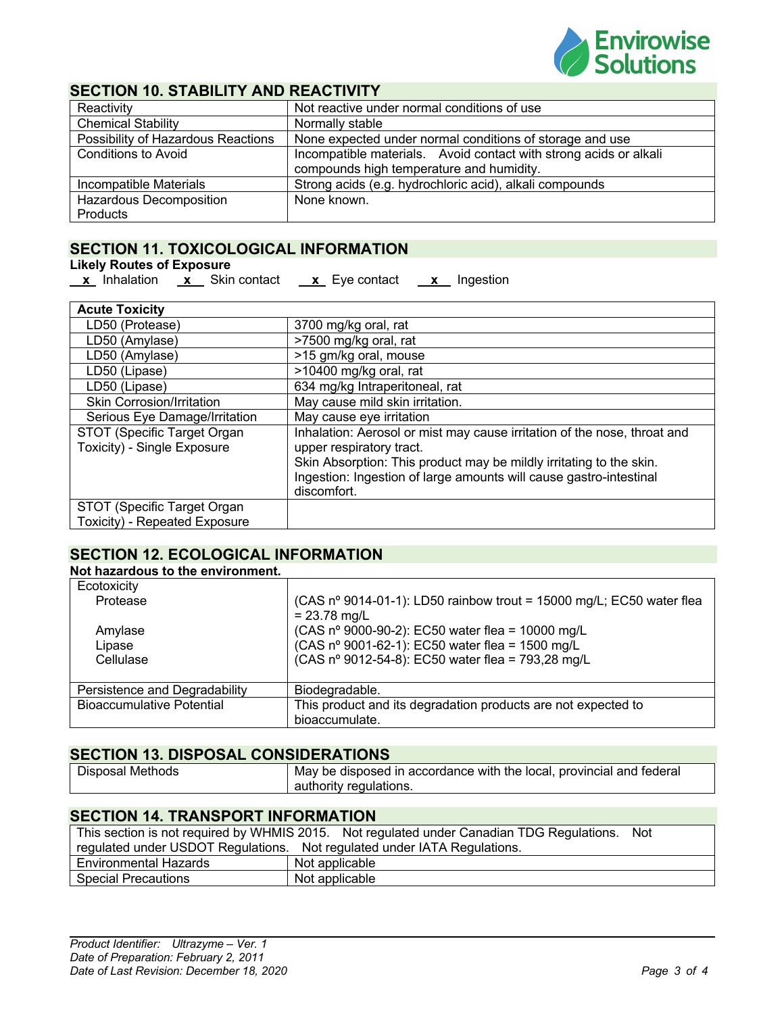

#### **SECTION 10. STABILITY AND REACTIVITY**

| Reactivity                         | Not reactive under normal conditions of use                       |
|------------------------------------|-------------------------------------------------------------------|
| <b>Chemical Stability</b>          | Normally stable                                                   |
| Possibility of Hazardous Reactions | None expected under normal conditions of storage and use          |
| <b>Conditions to Avoid</b>         | Incompatible materials. Avoid contact with strong acids or alkali |
|                                    | compounds high temperature and humidity.                          |
| Incompatible Materials             | Strong acids (e.g. hydrochloric acid), alkali compounds           |
| <b>Hazardous Decomposition</b>     | None known.                                                       |
| Products                           |                                                                   |

#### **SECTION 11. TOXICOLOGICAL INFORMATION**

#### **Likely Routes of Exposure**

|--|

**x** Skin contact **x** Eye contact **x** Ingestion

| <b>Acute Toxicity</b>                                      |                                                                                                                                                                                                                                                                  |
|------------------------------------------------------------|------------------------------------------------------------------------------------------------------------------------------------------------------------------------------------------------------------------------------------------------------------------|
| LD50 (Protease)                                            | 3700 mg/kg oral, rat                                                                                                                                                                                                                                             |
| LD50 (Amylase)                                             | >7500 mg/kg oral, rat                                                                                                                                                                                                                                            |
| LD50 (Amylase)                                             | >15 gm/kg oral, mouse                                                                                                                                                                                                                                            |
| LD50 (Lipase)                                              | >10400 mg/kg oral, rat                                                                                                                                                                                                                                           |
| LD50 (Lipase)                                              | 634 mg/kg Intraperitoneal, rat                                                                                                                                                                                                                                   |
| Skin Corrosion/Irritation                                  | May cause mild skin irritation.                                                                                                                                                                                                                                  |
| Serious Eye Damage/Irritation                              | May cause eye irritation                                                                                                                                                                                                                                         |
| STOT (Specific Target Organ<br>Toxicity) - Single Exposure | Inhalation: Aerosol or mist may cause irritation of the nose, throat and<br>upper respiratory tract.<br>Skin Absorption: This product may be mildly irritating to the skin.<br>Ingestion: Ingestion of large amounts will cause gastro-intestinal<br>discomfort. |
| STOT (Specific Target Organ                                |                                                                                                                                                                                                                                                                  |
| Toxicity) - Repeated Exposure                              |                                                                                                                                                                                                                                                                  |

#### **SECTION 12. ECOLOGICAL INFORMATION**

#### **Not hazardous to the environment.**

| Ecotoxicity                      |                                                                                        |
|----------------------------------|----------------------------------------------------------------------------------------|
| Protease                         | (CAS nº 9014-01-1): LD50 rainbow trout = 15000 mg/L; EC50 water flea<br>$= 23.78$ mg/L |
| Amylase                          | (CAS nº 9000-90-2): EC50 water flea = 10000 mg/L                                       |
| Lipase                           | (CAS nº 9001-62-1): EC50 water flea = 1500 mg/L                                        |
| Cellulase                        | (CAS nº 9012-54-8): EC50 water flea = 793,28 mg/L                                      |
| Persistence and Degradability    | Biodegradable.                                                                         |
| <b>Bioaccumulative Potential</b> | This product and its degradation products are not expected to                          |
|                                  | bioaccumulate.                                                                         |

#### **SECTION 13. DISPOSAL CONSIDERATIONS**

| <b>Disposal Methods</b> | May be disposed in accordance with the local, provincial and federal |
|-------------------------|----------------------------------------------------------------------|
|                         | authority regulations.                                               |

#### **SECTION 14. TRANSPORT INFORMATION**

| This section is not required by WHMIS 2015. Not regulated under Canadian TDG Regulations. Not |                |  |  |  |
|-----------------------------------------------------------------------------------------------|----------------|--|--|--|
| regulated under USDOT Regulations. Not regulated under IATA Regulations.                      |                |  |  |  |
| Environmental Hazards                                                                         | Not applicable |  |  |  |
| <b>Special Precautions</b>                                                                    | Not applicable |  |  |  |